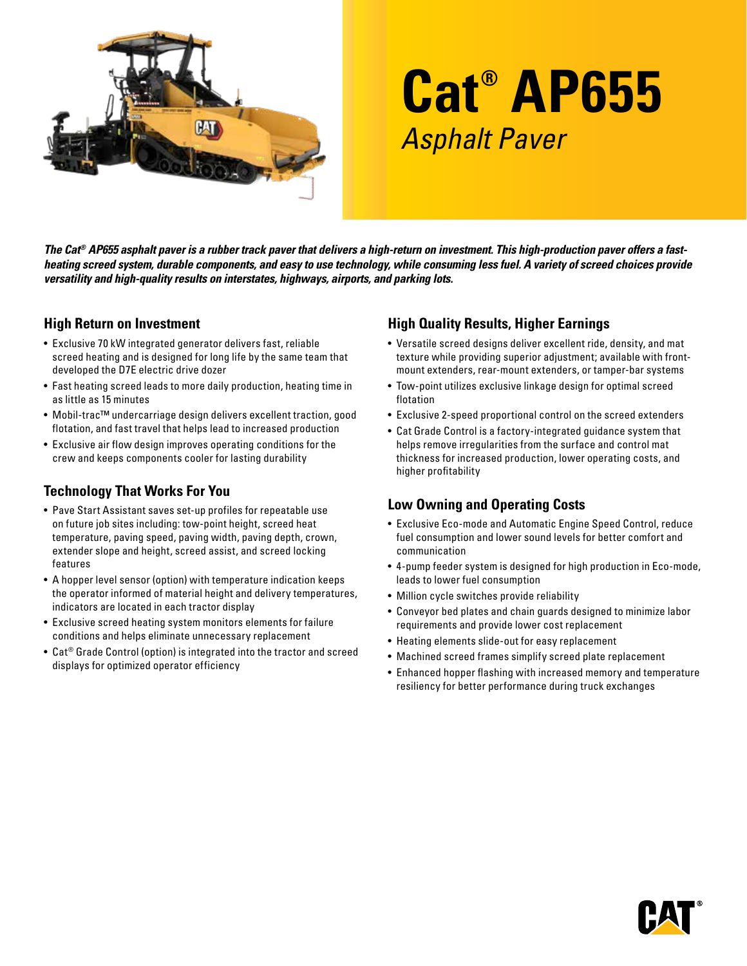

# **Cat® AP655** Asphalt Paver

*The Cat® AP655 asphalt paver is a rubber track paver that delivers a high-return on investment. This high-production paver offers a fastheating screed system, durable components, and easy to use technology, while consuming less fuel. A variety of screed choices provide versatility and high-quality results on interstates, highways, airports, and parking lots.* 

#### **High Return on Investment**

- Exclusive 70 kW integrated generator delivers fast, reliable screed heating and is designed for long life by the same team that developed the D7E electric drive dozer
- Fast heating screed leads to more daily production, heating time in as little as 15 minutes
- Mobil-trac™ undercarriage design delivers excellent traction, good flotation, and fast travel that helps lead to increased production
- Exclusive air flow design improves operating conditions for the crew and keeps components cooler for lasting durability

## **Technology That Works For You**

- Pave Start Assistant saves set-up profiles for repeatable use on future job sites including: tow-point height, screed heat temperature, paving speed, paving width, paving depth, crown, extender slope and height, screed assist, and screed locking features
- A hopper level sensor (option) with temperature indication keeps the operator informed of material height and delivery temperatures, indicators are located in each tractor display
- Exclusive screed heating system monitors elements for failure conditions and helps eliminate unnecessary replacement
- Cat® Grade Control (option) is integrated into the tractor and screed displays for optimized operator efficiency

## **High Quality Results, Higher Earnings**

- Versatile screed designs deliver excellent ride, density, and mat texture while providing superior adjustment; available with frontmount extenders, rear-mount extenders, or tamper-bar systems
- Tow-point utilizes exclusive linkage design for optimal screed flotation
- Exclusive 2-speed proportional control on the screed extenders
- Cat Grade Control is a factory-integrated guidance system that helps remove irregularities from the surface and control mat thickness for increased production, lower operating costs, and higher profitability

## **Low Owning and Operating Costs**

- Exclusive Eco-mode and Automatic Engine Speed Control, reduce fuel consumption and lower sound levels for better comfort and communication
- 4-pump feeder system is designed for high production in Eco-mode, leads to lower fuel consumption
- Million cycle switches provide reliability
- Conveyor bed plates and chain guards designed to minimize labor requirements and provide lower cost replacement
- Heating elements slide-out for easy replacement
- Machined screed frames simplify screed plate replacement
- Enhanced hopper flashing with increased memory and temperature resiliency for better performance during truck exchanges

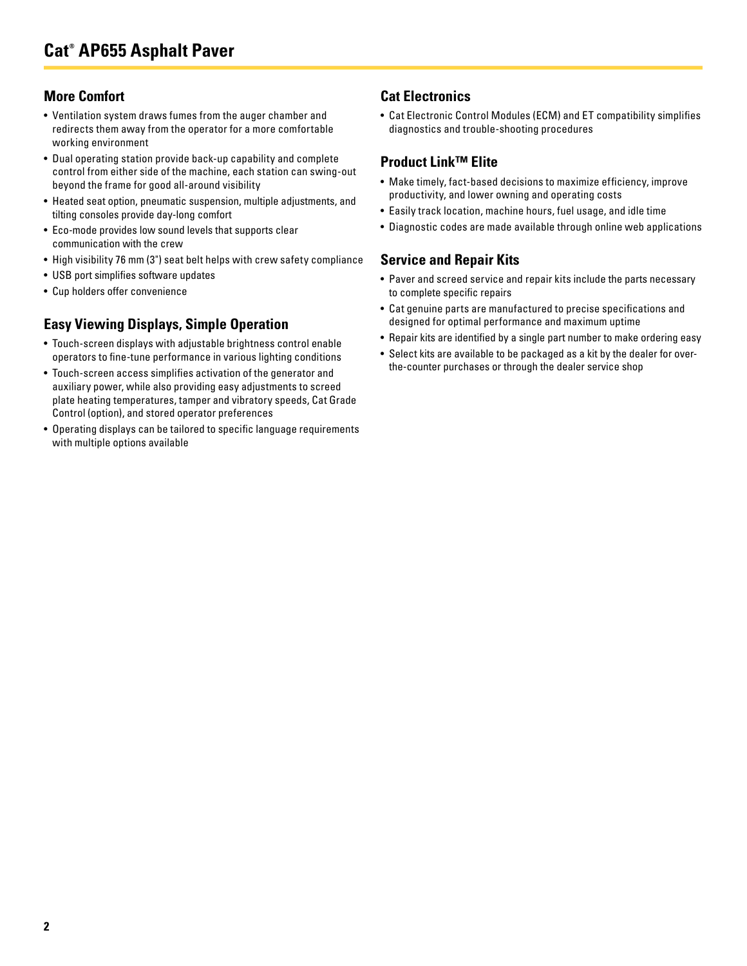## **More Comfort**

- Ventilation system draws fumes from the auger chamber and redirects them away from the operator for a more comfortable working environment
- Dual operating station provide back-up capability and complete control from either side of the machine, each station can swing-out beyond the frame for good all-around visibility
- Heated seat option, pneumatic suspension, multiple adjustments, and tilting consoles provide day-long comfort
- Eco-mode provides low sound levels that supports clear communication with the crew
- High visibility 76 mm (3") seat belt helps with crew safety compliance
- USB port simplifies software updates
- Cup holders offer convenience

## **Easy Viewing Displays, Simple Operation**

- Touch-screen displays with adjustable brightness control enable operators to fine-tune performance in various lighting conditions
- Touch-screen access simplifies activation of the generator and auxiliary power, while also providing easy adjustments to screed plate heating temperatures, tamper and vibratory speeds, Cat Grade Control (option), and stored operator preferences
- Operating displays can be tailored to specific language requirements with multiple options available

## **Cat Electronics**

• Cat Electronic Control Modules (ECM) and ET compatibility simplifies diagnostics and trouble-shooting procedures

#### **Product Link™ Elite**

- Make timely, fact-based decisions to maximize efficiency, improve productivity, and lower owning and operating costs
- Easily track location, machine hours, fuel usage, and idle time
- Diagnostic codes are made available through online web applications

#### **Service and Repair Kits**

- Paver and screed service and repair kits include the parts necessary to complete specific repairs
- Cat genuine parts are manufactured to precise specifications and designed for optimal performance and maximum uptime
- Repair kits are identified by a single part number to make ordering easy
- Select kits are available to be packaged as a kit by the dealer for overthe-counter purchases or through the dealer service shop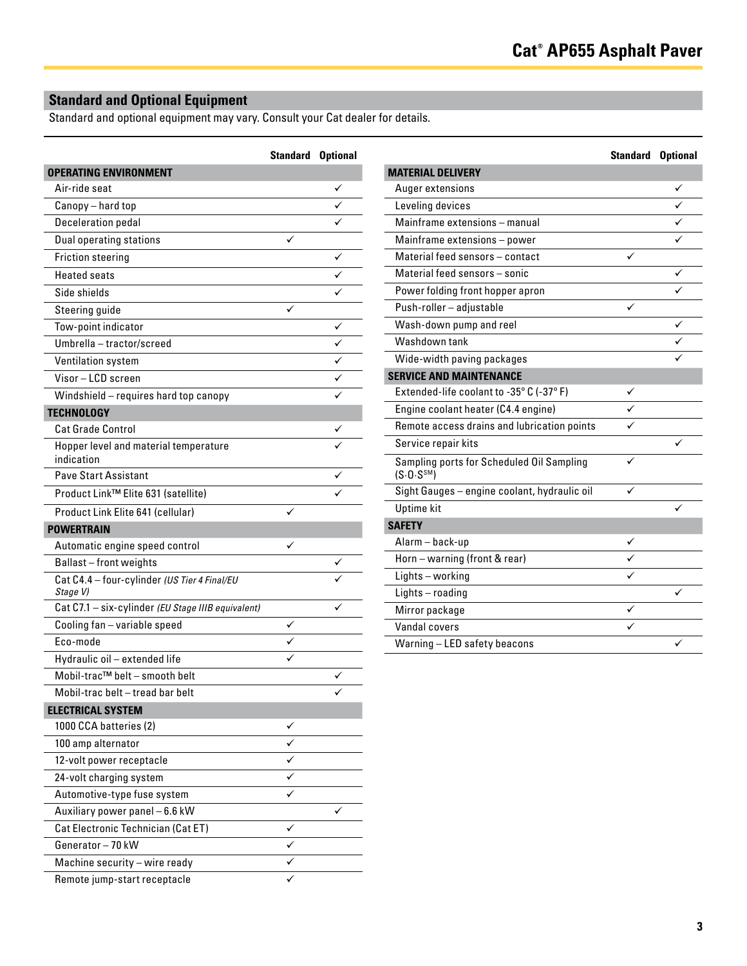## **Standard and Optional Equipment**

Standard and optional equipment may vary. Consult your Cat dealer for details.

|                                                          | <b>Standard Optional</b> |   |
|----------------------------------------------------------|--------------------------|---|
| <b>OPERATING ENVIRONMENT</b>                             |                          |   |
| Air-ride seat                                            |                          |   |
| Canopy - hard top                                        |                          |   |
| <b>Deceleration pedal</b>                                |                          |   |
| <b>Dual operating stations</b>                           | ✓                        |   |
| <b>Friction steering</b>                                 |                          |   |
| <b>Heated seats</b>                                      |                          |   |
| Side shields                                             |                          |   |
| Steering guide                                           |                          |   |
| Tow-point indicator                                      |                          | ✓ |
| Umbrella - tractor/screed                                |                          | ✓ |
| Ventilation system                                       |                          |   |
| Visor-LCD screen                                         |                          |   |
| Windshield - requires hard top canopy                    |                          |   |
| <b>TECHNOLOGY</b>                                        |                          |   |
| <b>Cat Grade Control</b>                                 |                          |   |
| Hopper level and material temperature<br>indication      |                          |   |
| <b>Pave Start Assistant</b>                              |                          |   |
| Product Link™ Elite 631 (satellite)                      |                          |   |
| Product Link Elite 641 (cellular)                        |                          |   |
| <b>POWERTRAIN</b>                                        |                          |   |
| Automatic engine speed control                           | ✓                        |   |
| Ballast-front weights                                    |                          |   |
| Cat C4.4 - four-cylinder (US Tier 4 Final/EU<br>Stage V) |                          |   |
| Cat C7.1 - six-cylinder (EU Stage IIIB equivalent)       |                          |   |
| Cooling fan - variable speed                             |                          |   |
| Eco-mode                                                 |                          |   |
| Hydraulic oil - extended life                            |                          |   |
| Mobil-trac™ belt - smooth belt                           |                          |   |
| Mobil-trac belt - tread bar belt                         |                          | ✓ |
| <b>ELECTRICAL SYSTEM</b>                                 |                          |   |
| 1000 CCA batteries (2)                                   |                          |   |
| 100 amp alternator                                       |                          |   |
| 12-volt power receptacle                                 |                          |   |
| 24-volt charging system                                  |                          |   |
| Automotive-type fuse system                              |                          |   |
| Auxiliary power panel - 6.6 kW                           |                          |   |
| Cat Electronic Technician (Cat ET)                       | ✓                        |   |
| Generator-70 kW                                          | ✓                        |   |
| Machine security - wire ready                            |                          |   |
| Remote jump-start receptacle                             |                          |   |

|                                                                      | <b>Standard Optional</b> |   |
|----------------------------------------------------------------------|--------------------------|---|
| <b>MATERIAL DELIVERY</b>                                             |                          |   |
| Auger extensions                                                     |                          | ✓ |
| Leveling devices                                                     |                          | ✓ |
| Mainframe extensions - manual                                        |                          | ✓ |
| Mainframe extensions - power                                         |                          |   |
| Material feed sensors - contact                                      |                          |   |
| Material feed sensors - sonic                                        |                          | ✓ |
| Power folding front hopper apron                                     |                          |   |
| Push-roller - adjustable                                             | ✓                        |   |
| Wash-down pump and reel                                              |                          | ✓ |
| Washdown tank                                                        |                          |   |
| Wide-width paving packages                                           |                          |   |
| <b>SERVICE AND MAINTENANCE</b>                                       |                          |   |
| Extended-life coolant to -35° C (-37° F)                             |                          |   |
| Engine coolant heater (C4.4 engine)                                  |                          |   |
| Remote access drains and lubrication points                          |                          |   |
| Service repair kits                                                  |                          |   |
| Sampling ports for Scheduled Oil Sampling<br>(S.0. S <sup>SM</sup> ) | ✓                        |   |
| Sight Gauges - engine coolant, hydraulic oil                         |                          |   |
| Uptime kit                                                           |                          |   |
| <b>SAFETY</b>                                                        |                          |   |
| Alarm - back-up                                                      | ✓                        |   |
| Horn - warning (front & rear)                                        |                          |   |
| Lights-working                                                       |                          |   |
| Lights-roading                                                       |                          |   |
| Mirror package                                                       | ✓                        |   |
| Vandal covers                                                        |                          |   |
| Warning-LED safety beacons                                           |                          | ✓ |